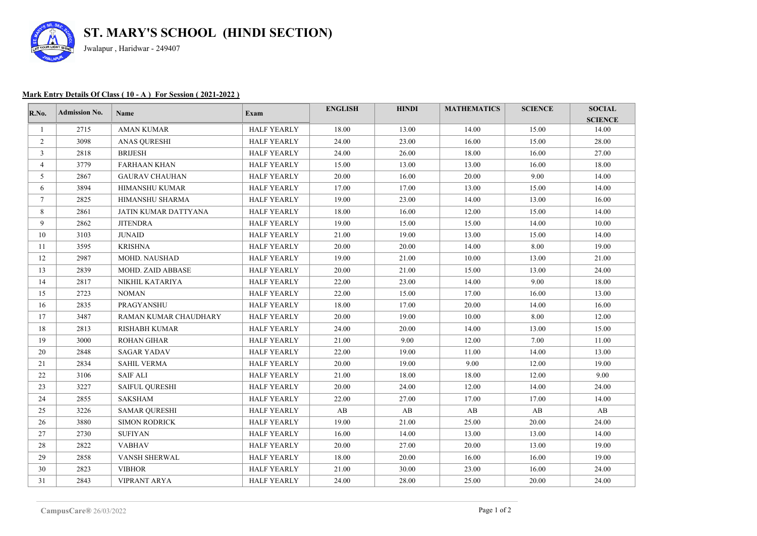

## **Mark Entry Details Of Class ( 10 - A ) For Session ( 2021-2022 )**

| R.No.          | <b>Admission No.</b> | <b>Name</b>           | Exam               | <b>ENGLISH</b> | <b>HINDI</b> | <b>MATHEMATICS</b> | <b>SCIENCE</b> | <b>SOCIAL</b><br><b>SCIENCE</b> |
|----------------|----------------------|-----------------------|--------------------|----------------|--------------|--------------------|----------------|---------------------------------|
| 1              | 2715                 | <b>AMAN KUMAR</b>     | <b>HALF YEARLY</b> | 18.00          | 13.00        | 14.00              | 15.00          | 14.00                           |
| $\overline{2}$ | 3098                 | <b>ANAS QURESHI</b>   | <b>HALF YEARLY</b> | 24.00          | 23.00        | 16.00              | 15.00          | 28.00                           |
| 3              | 2818                 | <b>BRIJESH</b>        | <b>HALF YEARLY</b> | 24.00          | 26.00        | 18.00              | 16.00          | 27.00                           |
| $\overline{4}$ | 3779                 | <b>FARHAAN KHAN</b>   | <b>HALF YEARLY</b> | 15.00          | 13.00        | 13.00              | 16.00          | 18.00                           |
| 5              | 2867                 | <b>GAURAV CHAUHAN</b> | <b>HALF YEARLY</b> | 20.00          | 16.00        | 20.00              | 9.00           | 14.00                           |
| 6              | 3894                 | <b>HIMANSHU KUMAR</b> | <b>HALF YEARLY</b> | 17.00          | 17.00        | 13.00              | 15.00          | 14.00                           |
| $\tau$         | 2825                 | HIMANSHU SHARMA       | <b>HALF YEARLY</b> | 19.00          | 23.00        | 14.00              | 13.00          | 16.00                           |
| 8              | 2861                 | JATIN KUMAR DATTYANA  | <b>HALF YEARLY</b> | 18.00          | 16.00        | 12.00              | 15.00          | 14.00                           |
| 9              | 2862                 | <b>JITENDRA</b>       | <b>HALF YEARLY</b> | 19.00          | 15.00        | 15.00              | 14.00          | 10.00                           |
| 10             | 3103                 | <b>JUNAID</b>         | <b>HALF YEARLY</b> | 21.00          | 19.00        | 13.00              | 15.00          | 14.00                           |
| 11             | 3595                 | <b>KRISHNA</b>        | <b>HALF YEARLY</b> | 20.00          | 20.00        | 14.00              | 8.00           | 19.00                           |
| 12             | 2987                 | MOHD. NAUSHAD         | <b>HALF YEARLY</b> | 19.00          | 21.00        | 10.00              | 13.00          | 21.00                           |
| 13             | 2839                 | MOHD. ZAID ABBASE     | <b>HALF YEARLY</b> | 20.00          | 21.00        | 15.00              | 13.00          | 24.00                           |
| 14             | 2817                 | NIKHIL KATARIYA       | <b>HALF YEARLY</b> | 22.00          | 23.00        | 14.00              | 9.00           | 18.00                           |
| 15             | 2723                 | <b>NOMAN</b>          | <b>HALF YEARLY</b> | 22.00          | 15.00        | 17.00              | 16.00          | 13.00                           |
| 16             | 2835                 | PRAGYANSHU            | <b>HALF YEARLY</b> | 18.00          | 17.00        | 20.00              | 14.00          | 16.00                           |
| 17             | 3487                 | RAMAN KUMAR CHAUDHARY | <b>HALF YEARLY</b> | 20.00          | 19.00        | 10.00              | 8.00           | 12.00                           |
| 18             | 2813                 | <b>RISHABH KUMAR</b>  | <b>HALF YEARLY</b> | 24.00          | 20.00        | 14.00              | 13.00          | 15.00                           |
| 19             | 3000                 | <b>ROHAN GIHAR</b>    | <b>HALF YEARLY</b> | 21.00          | 9.00         | 12.00              | 7.00           | 11.00                           |
| 20             | 2848                 | <b>SAGAR YADAV</b>    | <b>HALF YEARLY</b> | 22.00          | 19.00        | 11.00              | 14.00          | 13.00                           |
| 21             | 2834                 | <b>SAHIL VERMA</b>    | <b>HALF YEARLY</b> | 20.00          | 19.00        | 9.00               | 12.00          | 19.00                           |
| 22             | 3106                 | <b>SAIF ALI</b>       | <b>HALF YEARLY</b> | 21.00          | 18.00        | 18.00              | 12.00          | 9.00                            |
| 23             | 3227                 | <b>SAIFUL QURESHI</b> | <b>HALF YEARLY</b> | 20.00          | 24.00        | 12.00              | 14.00          | 24.00                           |
| 24             | 2855                 | <b>SAKSHAM</b>        | <b>HALF YEARLY</b> | 22.00          | 27.00        | 17.00              | 17.00          | 14.00                           |
| 25             | 3226                 | <b>SAMAR QURESHI</b>  | <b>HALF YEARLY</b> | AB             | AB           | AB                 | AB             | AB                              |
| 26             | 3880                 | <b>SIMON RODRICK</b>  | <b>HALF YEARLY</b> | 19.00          | 21.00        | 25.00              | 20.00          | 24.00                           |
| 27             | 2730                 | <b>SUFIYAN</b>        | <b>HALF YEARLY</b> | 16.00          | 14.00        | 13.00              | 13.00          | 14.00                           |
| 28             | 2822                 | <b>VABHAV</b>         | <b>HALF YEARLY</b> | 20.00          | 27.00        | 20.00              | 13.00          | 19.00                           |
| 29             | 2858                 | VANSH SHERWAL         | <b>HALF YEARLY</b> | 18.00          | 20.00        | 16.00              | 16.00          | 19.00                           |
| 30             | 2823                 | <b>VIBHOR</b>         | <b>HALF YEARLY</b> | 21.00          | 30.00        | 23.00              | 16.00          | 24.00                           |
| 31             | 2843                 | VIPRANT ARYA          | <b>HALF YEARLY</b> | 24.00          | 28.00        | 25.00              | 20.00          | 24.00                           |